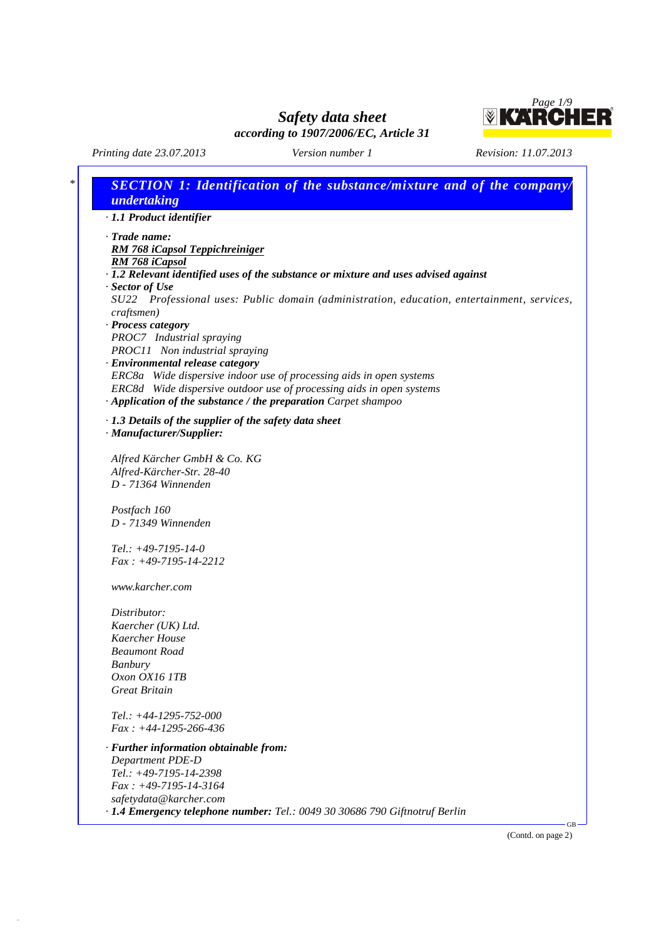*Page 1/9*<br>**KARCHER** 

*Printing date 23.07.2013 Version number 1 Revision: 11.07.2013*

 $\overline{1}$ 

37.0.5

٦

| · 1.1 Product identifier<br>$\cdot$ Trade name:<br>RM 768 iCapsol Teppichreiniger<br>RM 768 iCapsol<br>· 1.2 Relevant identified uses of the substance or mixture and uses advised against |  |
|--------------------------------------------------------------------------------------------------------------------------------------------------------------------------------------------|--|
|                                                                                                                                                                                            |  |
|                                                                                                                                                                                            |  |
|                                                                                                                                                                                            |  |
|                                                                                                                                                                                            |  |
|                                                                                                                                                                                            |  |
| · Sector of Use                                                                                                                                                                            |  |
| SU22 Professional uses: Public domain (administration, education, entertainment, services,                                                                                                 |  |
| craftsmen)                                                                                                                                                                                 |  |
| · Process category                                                                                                                                                                         |  |
| PROC7 Industrial spraying                                                                                                                                                                  |  |
| PROC11 Non industrial spraying                                                                                                                                                             |  |
| · Environmental release category                                                                                                                                                           |  |
| ERC8a Wide dispersive indoor use of processing aids in open systems                                                                                                                        |  |
| ERC8d Wide dispersive outdoor use of processing aids in open systems                                                                                                                       |  |
| · Application of the substance / the preparation Carpet shampoo                                                                                                                            |  |
| $\cdot$ 1.3 Details of the supplier of the safety data sheet                                                                                                                               |  |
| · Manufacturer/Supplier:                                                                                                                                                                   |  |
|                                                                                                                                                                                            |  |
| Alfred Kärcher GmbH & Co. KG                                                                                                                                                               |  |
| Alfred-Kärcher-Str. 28-40                                                                                                                                                                  |  |
| D - 71364 Winnenden                                                                                                                                                                        |  |
|                                                                                                                                                                                            |  |
| Postfach 160                                                                                                                                                                               |  |
| D - 71349 Winnenden                                                                                                                                                                        |  |
|                                                                                                                                                                                            |  |
| Tel.: $+49-7195-14-0$                                                                                                                                                                      |  |
| $Fax: +49-7195-14-2212$                                                                                                                                                                    |  |
| www.karcher.com                                                                                                                                                                            |  |
|                                                                                                                                                                                            |  |
| Distributor:                                                                                                                                                                               |  |
| Kaercher (UK) Ltd.                                                                                                                                                                         |  |
| Kaercher House                                                                                                                                                                             |  |
| <b>Beaumont Road</b>                                                                                                                                                                       |  |
| <b>Banbury</b>                                                                                                                                                                             |  |
| Oxon OX16 1TB                                                                                                                                                                              |  |
| <b>Great Britain</b>                                                                                                                                                                       |  |
|                                                                                                                                                                                            |  |
| $Tel.: +44-1295-752-000$                                                                                                                                                                   |  |
| $Fax: +44-1295-266-436$                                                                                                                                                                    |  |
| · Further information obtainable from:                                                                                                                                                     |  |
| <b>Department PDE-D</b>                                                                                                                                                                    |  |
| Tel.: +49-7195-14-2398                                                                                                                                                                     |  |
| $Fax : +49-7195-14-3164$                                                                                                                                                                   |  |
| safetydata@karcher.com                                                                                                                                                                     |  |
| · 1.4 Emergency telephone number: Tel.: 0049 30 30686 790 Giftnotruf Berlin                                                                                                                |  |

(Contd. on page 2)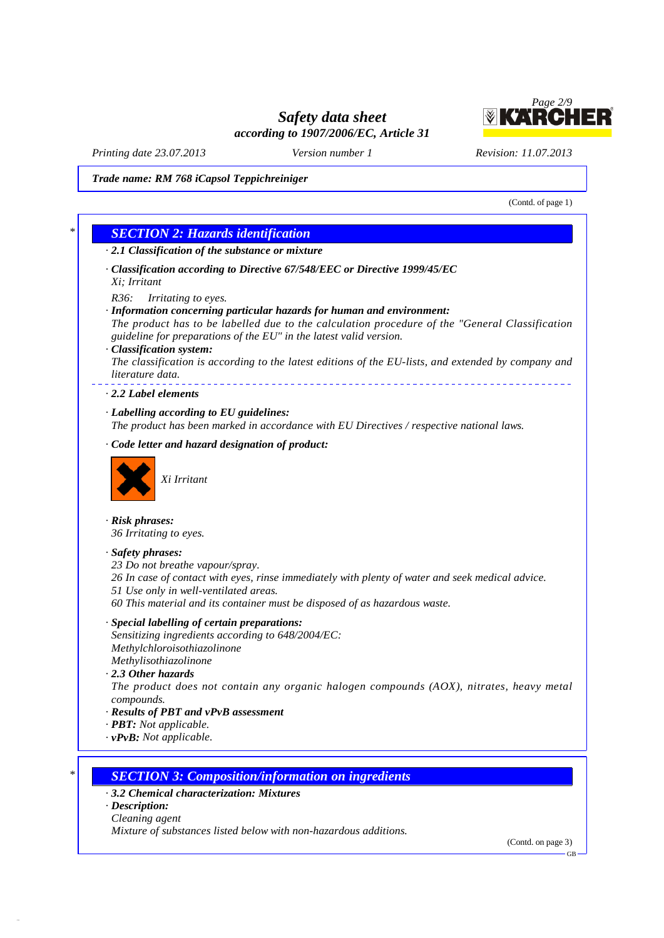

*Printing date 23.07.2013 Version number 1 Revision: 11.07.2013*

### *Trade name: RM 768 iCapsol Teppichreiniger*

(Contd. of page 1) *\* SECTION 2: Hazards identification · 2.1 Classification of the substance or mixture · Classification according to Directive 67/548/EEC or Directive 1999/45/EC Xi; Irritant R36: Irritating to eyes. · Information concerning particular hazards for human and environment: The product has to be labelled due to the calculation procedure of the "General Classification guideline for preparations of the EU" in the latest valid version. · Classification system: The classification is according to the latest editions of the EU-lists, and extended by company and literature data. · 2.2 Label elements · Labelling according to EU guidelines: The product has been marked in accordance with EU Directives / respective national laws. · Code letter and hazard designation of product: Xi Irritant · Risk phrases: 36 Irritating to eyes. · Safety phrases: 23 Do not breathe vapour/spray. 26 In case of contact with eyes, rinse immediately with plenty of water and seek medical advice. 51 Use only in well-ventilated areas. 60 This material and its container must be disposed of as hazardous waste. · Special labelling of certain preparations: Sensitizing ingredients according to 648/2004/EC: Methylchloroisothiazolinone Methylisothiazolinone · 2.3 Other hazards The product does not contain any organic halogen compounds (AOX), nitrates, heavy metal compounds. · Results of PBT and vPvB assessment · PBT: Not applicable. · vPvB: Not applicable. \* SECTION 3: Composition/information on ingredients · 3.2 Chemical characterization: Mixtures · Description: Cleaning agent*

*Mixture of substances listed below with non-hazardous additions.*

37.0.5

(Contd. on page 3)GB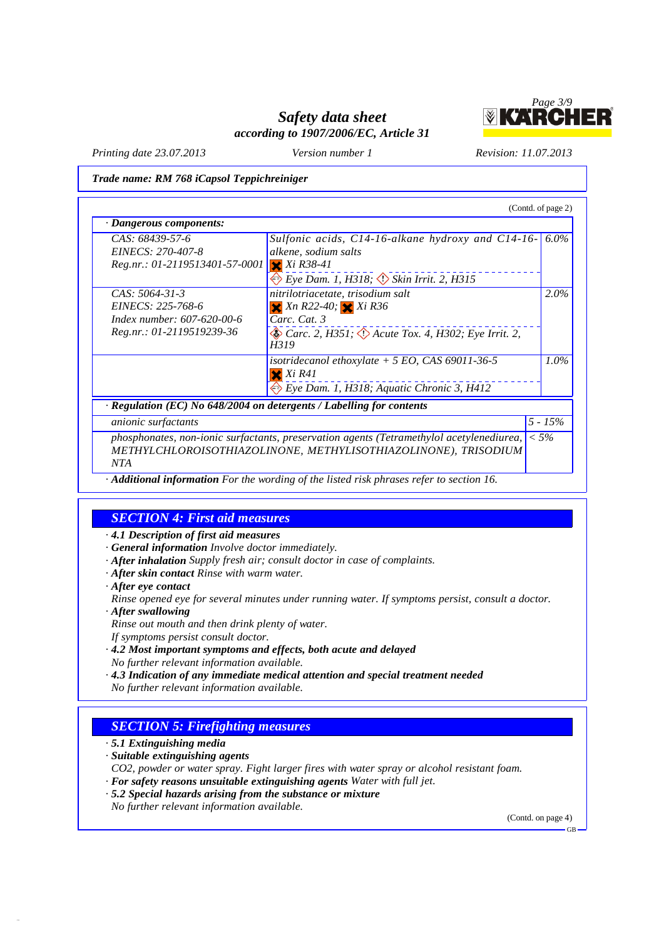

*Printing date 23.07.2013 Version number 1 Revision: 11.07.2013*

*Trade name: RM 768 iCapsol Teppichreiniger*

| CAS: 68439-57-6                | Sulfonic acids, $C14-16$ -alkane hydroxy and $C14-16-$ 6.0%                                                                                                |            |
|--------------------------------|------------------------------------------------------------------------------------------------------------------------------------------------------------|------------|
| EINECS: 270-407-8              | alkene, sodium salts                                                                                                                                       |            |
| Reg.nr.: 01-2119513401-57-0001 | $X$ $X$ <i>i</i> $R$ 38-41                                                                                                                                 |            |
|                                | Eye Dam. 1, H318; Skin Irrit. 2, H315                                                                                                                      |            |
| $CAS: 5064-31-3$               | nitrilotriacetate, trisodium salt                                                                                                                          | 2.0%       |
| EINECS: 225-768-6              | $X$ Xn R22-40; $X$ Xi R36                                                                                                                                  |            |
| Index number: 607-620-00-6     | Carc. Cat. 3                                                                                                                                               |            |
| Reg.nr.: 01-2119519239-36      | $\leftrightarrow$ Carc. 2, H351; $\leftrightarrow$ Acute Tox. 4, H302; Eye Irrit. 2,<br>H319                                                               |            |
|                                | isotridecanol ethoxylate $+ 5 \text{ EO}$ , CAS 69011-36-5<br>$X$ $K$ $R$ 41                                                                               | $1.0\%$    |
|                                | Eye Dam. 1, H318; Aquatic Chronic 3, H412                                                                                                                  |            |
|                                | $\cdot$ Regulation (EC) No 648/2004 on detergents / Labelling for contents                                                                                 |            |
| <i>anionic surfactants</i>     |                                                                                                                                                            | $5 - 15\%$ |
| <b>NTA</b>                     | phosphonates, non-ionic surfactants, preservation agents (Tetramethylol acetylenediurea,<br>METHYLCHLOROISOTHIAZOLINONE, METHYLISOTHIAZOLINONE), TRISODIUM | $< 5\%$    |

## *SECTION 4: First aid measures*

*· 4.1 Description of first aid measures*

- *· General information Involve doctor immediately.*
- *· After inhalation Supply fresh air; consult doctor in case of complaints.*
- *· After skin contact Rinse with warm water.*
- *· After eye contact*

*Rinse opened eye for several minutes under running water. If symptoms persist, consult a doctor.*

- *· After swallowing*
- *Rinse out mouth and then drink plenty of water. If symptoms persist consult doctor.*
- *· 4.2 Most important symptoms and effects, both acute and delayed No further relevant information available.*
- *· 4.3 Indication of any immediate medical attention and special treatment needed No further relevant information available.*
- 

# *SECTION 5: Firefighting measures*

*· 5.1 Extinguishing media*

37.0.5

- *· Suitable extinguishing agents*
- *CO2, powder or water spray. Fight larger fires with water spray or alcohol resistant foam.*
- *· For safety reasons unsuitable extinguishing agents Water with full jet.*
- *· 5.2 Special hazards arising from the substance or mixture*

*No further relevant information available.*

(Contd. on page 4)GB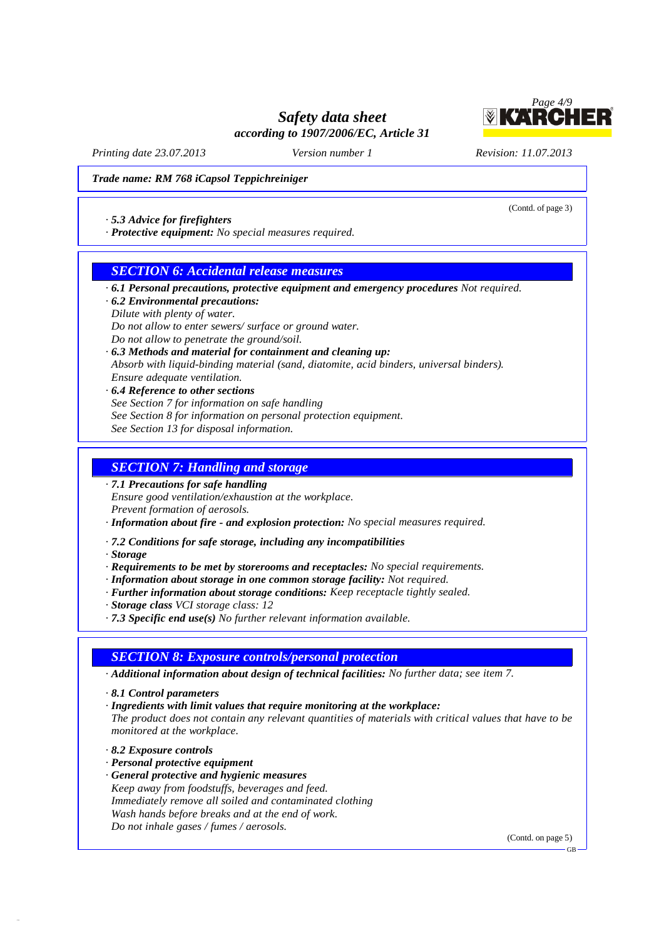

(Contd. of page 3)

*Printing date 23.07.2013 Version number 1 Revision: 11.07.2013*

#### *Trade name: RM 768 iCapsol Teppichreiniger*

#### *· 5.3 Advice for firefighters*

*· Protective equipment: No special measures required.*

## *SECTION 6: Accidental release measures*

- *· 6.1 Personal precautions, protective equipment and emergency procedures Not required.*
- *· 6.2 Environmental precautions:*
- *Dilute with plenty of water.*

*Do not allow to enter sewers/ surface or ground water.*

- *Do not allow to penetrate the ground/soil.*
- *· 6.3 Methods and material for containment and cleaning up:*
- *Absorb with liquid-binding material (sand, diatomite, acid binders, universal binders). Ensure adequate ventilation.*
- *· 6.4 Reference to other sections See Section 7 for information on safe handling See Section 8 for information on personal protection equipment. See Section 13 for disposal information.*

## *SECTION 7: Handling and storage*

- *· 7.1 Precautions for safe handling Ensure good ventilation/exhaustion at the workplace. Prevent formation of aerosols.*
- *· Information about fire - and explosion protection: No special measures required.*
- *· 7.2 Conditions for safe storage, including any incompatibilities*
- *· Storage*
- *· Requirements to be met by storerooms and receptacles: No special requirements.*
- *· Information about storage in one common storage facility: Not required.*
- *· Further information about storage conditions: Keep receptacle tightly sealed.*
- *· Storage class VCI storage class: 12*
- *· 7.3 Specific end use(s) No further relevant information available.*

## *SECTION 8: Exposure controls/personal protection*

- *· Additional information about design of technical facilities: No further data; see item 7.*
- *· 8.1 Control parameters*
- *· Ingredients with limit values that require monitoring at the workplace:*
- *The product does not contain any relevant quantities of materials with critical values that have to be monitored at the workplace.*
- *· 8.2 Exposure controls*

37.0.5

- *· Personal protective equipment*
- *· General protective and hygienic measures Keep away from foodstuffs, beverages and feed. Immediately remove all soiled and contaminated clothing Wash hands before breaks and at the end of work. Do not inhale gases / fumes / aerosols.*

(Contd. on page 5)

GB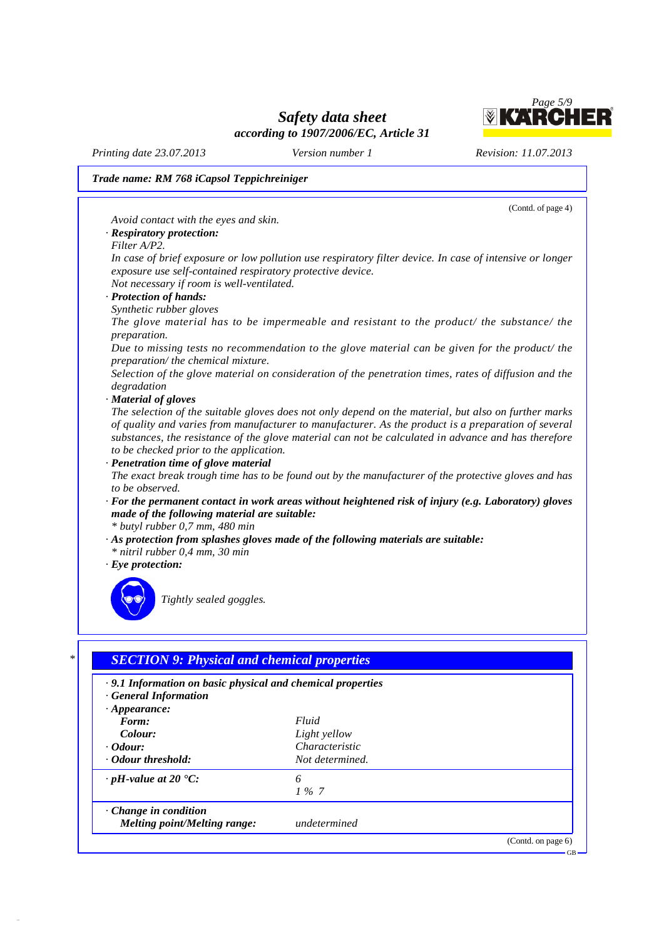

GB

*Printing date 23.07.2013 Version number 1 Revision: 11.07.2013*

37.0.5

## *Trade name: RM 768 iCapsol Teppichreiniger*

(Contd. of page 4) *Avoid contact with the eyes and skin. · Respiratory protection: Filter A/P2.* In case of brief exposure or low pollution use respiratory filter device. In case of intensive or longer *exposure use self-contained respiratory protective device. Not necessary if room is well-ventilated. · Protection of hands: Synthetic rubber gloves The glove material has to be impermeable and resistant to the product/ the substance/ the preparation. Due to missing tests no recommendation to the glove material can be given for the product/ the preparation/ the chemical mixture. Selection of the glove material on consideration of the penetration times, rates of diffusion and the degradation · Material of gloves* The selection of the suitable gloves does not only depend on the material, but also on further marks *of quality and varies from manufacturer to manufacturer. As the product is a preparation of several substances, the resistance of the glove material can not be calculated in advance and has therefore to be checked prior to the application. · Penetration time of glove material* The exact break trough time has to be found out by the manufacturer of the protective gloves and has *to be observed. · For the permanent contact in work areas without heightened risk of injury (e.g. Laboratory) gloves made of the following material are suitable: \* butyl rubber 0,7 mm, 480 min · As protection from splashes gloves made of the following materials are suitable: \* nitril rubber 0,4 mm, 30 min · Eye protection: Tightly sealed goggles. \* SECTION 9: Physical and chemical properties*

*· 9.1 Information on basic physical and chemical properties · General Information · Appearance: Form: Fluid Colour: Light yellow · Odour: Characteristic · Odour threshold: Not determined. · pH-value at 20 °C: 6 1 % 7 · Change in condition Melting point/Melting range: undetermined* (Contd. on page 6)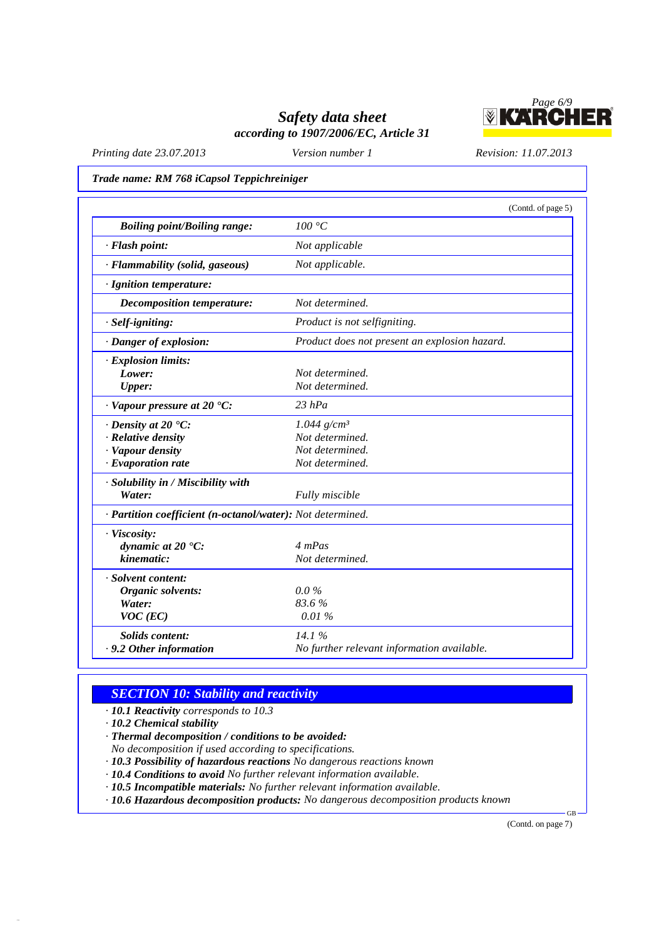

*Printing date 23.07.2013 Version number 1 Revision: 11.07.2013*

#### *Trade name: RM 768 iCapsol Teppichreiniger*

|                                                            | (Contd. of page 5)                            |
|------------------------------------------------------------|-----------------------------------------------|
| <b>Boiling point/Boiling range:</b>                        | $100\ ^{\circ}\textrm{C}$                     |
| · Flash point:                                             | Not applicable                                |
| · Flammability (solid, gaseous)                            | Not applicable.                               |
| · Ignition temperature:                                    |                                               |
| Decomposition temperature:                                 | Not determined.                               |
| $·$ Self-igniting:                                         | Product is not selfigniting.                  |
| · Danger of explosion:                                     | Product does not present an explosion hazard. |
| · Explosion limits:                                        |                                               |
| Lower:                                                     | Not determined.                               |
| <b>Upper:</b>                                              | Not determined.                               |
| $\cdot$ Vapour pressure at 20 $\textdegree$ C:             | $23$ hPa                                      |
| $\cdot$ Density at 20 $\cdot$ C:                           | $1.044$ g/cm <sup>3</sup>                     |
| · Relative density                                         | Not determined.                               |
| · Vapour density                                           | Not determined.                               |
| $\cdot$ Evaporation rate                                   | Not determined.                               |
| · Solubility in / Miscibility with                         |                                               |
| Water:                                                     | Fully miscible                                |
| · Partition coefficient (n-octanol/water): Not determined. |                                               |
| · Viscosity:                                               |                                               |
| dynamic at 20 °C:                                          | 4 mPas                                        |
| kinematic:                                                 | Not determined.                               |
| · Solvent content:                                         |                                               |
| Organic solvents:                                          | $0.0\%$                                       |
| Water:                                                     | 83.6%                                         |
| $VOC$ (EC)                                                 | 0.01%                                         |
| <b>Solids</b> content:                                     | 14.1%                                         |
| . 9.2 Other information                                    | No further relevant information available.    |

# *SECTION 10: Stability and reactivity*

*· 10.1 Reactivity corresponds to 10.3*

*· 10.2 Chemical stability*

37.0.5

*· Thermal decomposition / conditions to be avoided:*

*No decomposition if used according to specifications.*

*· 10.3 Possibility of hazardous reactions No dangerous reactions known*

*· 10.4 Conditions to avoid No further relevant information available.*

*· 10.5 Incompatible materials: No further relevant information available.*

*· 10.6 Hazardous decomposition products: No dangerous decomposition products known*

(Contd. on page 7)

 $GB -$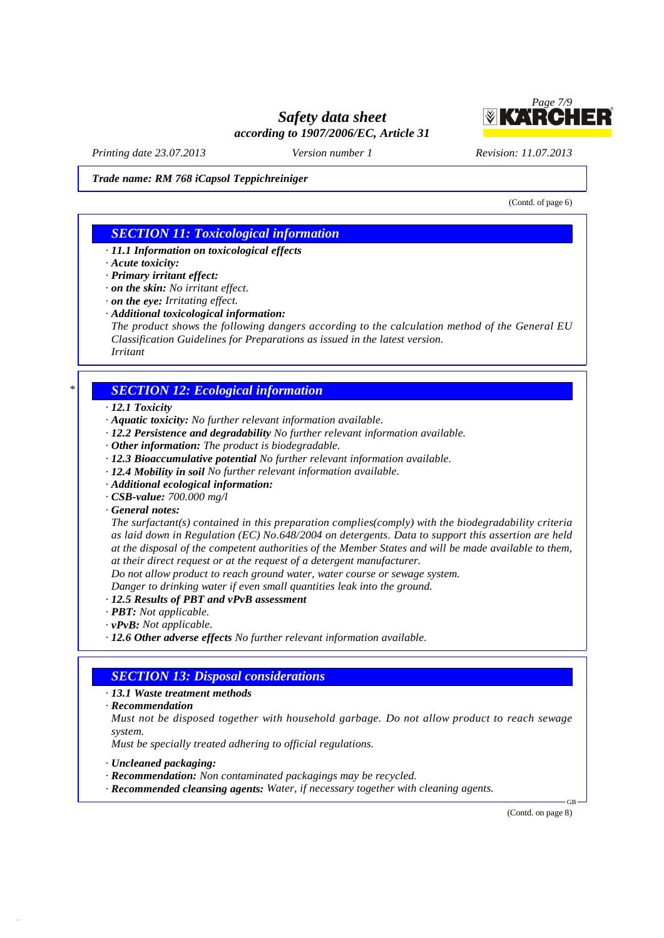

*Printing date 23.07.2013 Version number 1 Revision: 11.07.2013*

*Trade name: RM 768 iCapsol Teppichreiniger*

(Contd. of page 6)

# *SECTION 11: Toxicological information*

- *· 11.1 Information on toxicological effects*
- *· Acute toxicity:*
- *· Primary irritant effect:*
- *· on the skin: No irritant effect.*
- *· on the eye: Irritating effect.*
- *· Additional toxicological information:*
- *The product shows the following dangers according to the calculation method of the General EU Classification Guidelines for Preparations as issued in the latest version. Irritant*

## *\* SECTION 12: Ecological information*

- *· 12.1 Toxicity*
- *· Aquatic toxicity: No further relevant information available.*
- *· 12.2 Persistence and degradability No further relevant information available.*
- *· Other information: The product is biodegradable.*
- *· 12.3 Bioaccumulative potential No further relevant information available.*
- *· 12.4 Mobility in soil No further relevant information available.*
- *· Additional ecological information:*
- *· CSB-value: 700.000 mg/l*
- *· General notes:*

*The surfactant(s) contained in this preparation complies(comply) with the biodegradability criteria as laid down in Regulation (EC) No.648/2004 on detergents. Data to support this assertion are held* at the disposal of the competent authorities of the Member States and will be made available to them, *at their direct request or at the request of a detergent manufacturer.*

*Do not allow product to reach ground water, water course or sewage system.*

*Danger to drinking water if even small quantities leak into the ground.*

- *· 12.5 Results of PBT and vPvB assessment*
- *· PBT: Not applicable.*
- *· vPvB: Not applicable.*
- *· 12.6 Other adverse effects No further relevant information available.*

## *SECTION 13: Disposal considerations*

- *· 13.1 Waste treatment methods*
- *· Recommendation*

*Must not be disposed together with household garbage. Do not allow product to reach sewage system.*

*Must be specially treated adhering to official regulations.*

*· Uncleaned packaging:*

37.0.5

- *· Recommendation: Non contaminated packagings may be recycled.*
- *· Recommended cleansing agents: Water, if necessary together with cleaning agents.*

(Contd. on page 8)

GB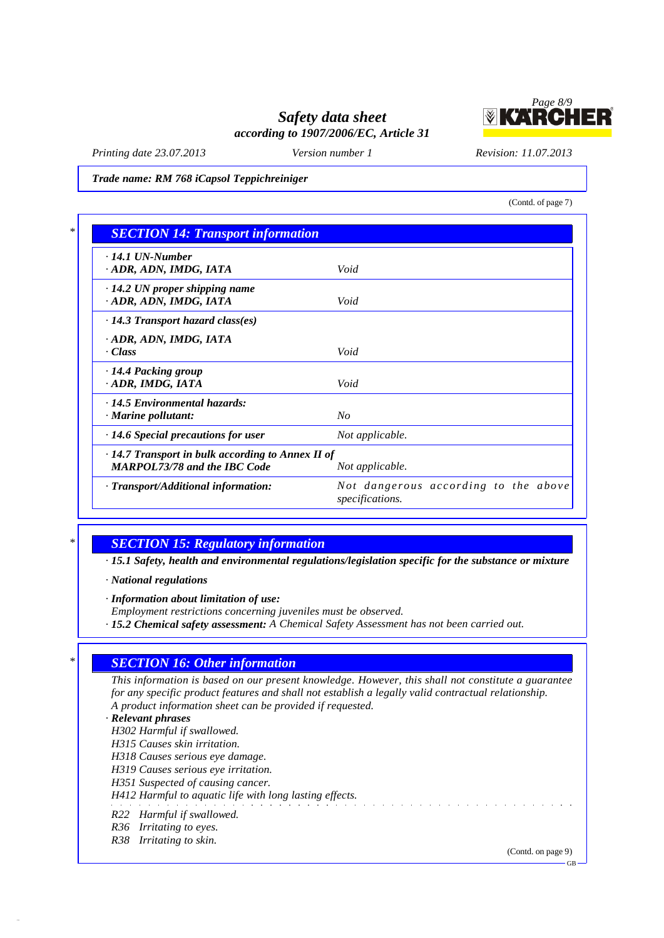

*Printing date 23.07.2013 Version number 1 Revision: 11.07.2013*

*Trade name: RM 768 iCapsol Teppichreiniger*

(Contd. of page 7)

| $\cdot$ 14.1 UN-Number                                  |                                      |  |
|---------------------------------------------------------|--------------------------------------|--|
| · ADR, ADN, IMDG, IATA                                  | Void                                 |  |
| $\cdot$ 14.2 UN proper shipping name                    |                                      |  |
| · ADR, ADN, IMDG, IATA                                  | Void                                 |  |
| $\cdot$ 14.3 Transport hazard class(es)                 |                                      |  |
| · ADR, ADN, IMDG, IATA                                  |                                      |  |
| · Class                                                 | Void                                 |  |
| 14.4 Packing group                                      |                                      |  |
| · ADR, IMDG, IATA                                       | Void                                 |  |
| · 14.5 Environmental hazards:                           |                                      |  |
| · Marine pollutant:                                     | $N_{O}$                              |  |
| · 14.6 Special precautions for user                     | Not applicable.                      |  |
| $\cdot$ 14.7 Transport in bulk according to Annex II of |                                      |  |
| <b>MARPOL73/78 and the IBC Code</b>                     | Not applicable.                      |  |
| · Transport/Additional information:                     | Not dangerous according to the above |  |

37.0.5

## *\* SECTION 15: Regulatory information*

*· 15.1 Safety, health and environmental regulations/legislation specific for the substance or mixture*

*· National regulations*

*· Information about limitation of use:*

*Employment restrictions concerning juveniles must be observed.*

*· 15.2 Chemical safety assessment: A Chemical Safety Assessment has not been carried out.*

# *\* SECTION 16: Other information*

*This information is based on our present knowledge. However, this shall not constitute a guarantee for any specific product features and shall not establish a legally valid contractual relationship. A product information sheet can be provided if requested.*

#### *· Relevant phrases*

*H302 Harmful if swallowed.*

*H315 Causes skin irritation.*

*H318 Causes serious eye damage.*

*H319 Causes serious eye irritation.*

*H351 Suspected of causing cancer.*

*H412 Harmful to aquatic life with long lasting effects.*

- *R22 Harmful if swallowed.*
- *R36 Irritating to eyes.*
- *R38 Irritating to skin.*

(Contd. on page 9)

GB